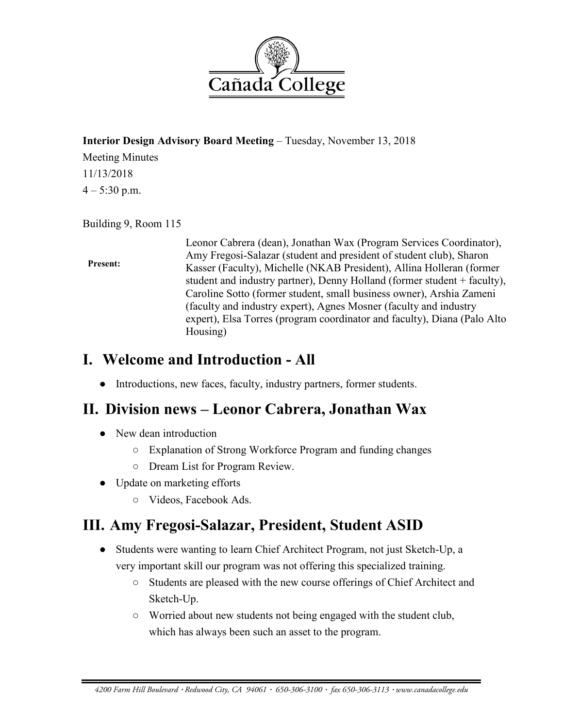

#### **Interior Design Advisory Board Meeting** – Tuesday, November 13, 2018

Meeting Minutes 11/13/2018  $4 - 5:30$  p.m.

#### Building 9, Room 115

#### **Present:**

Leonor Cabrera (dean), Jonathan Wax (Program Services Coordinator), Amy Fregosi-Salazar (student and president of student club), Sharon Kasser (Faculty), Michelle (NKAB President), Allina Holleran (former student and industry partner), Denny Holland (former student + faculty), Caroline Sotto (former student, small business owner), Arshia Zameni (faculty and industry expert), Agnes Mosner (faculty and industry expert), Elsa Torres (program coordinator and faculty), Diana (Palo Alto Housing)

## **I. Welcome and Introduction - All**

● Introductions, new faces, faculty, industry partners, former students.

## **II. Division news – Leonor Cabrera, Jonathan Wax**

- New dean introduction
	- Explanation of Strong Workforce Program and funding changes
	- Dream List for Program Review.
- Update on marketing efforts
	- Videos, Facebook Ads.

# **III. Amy Fregosi-Salazar, President, Student ASID**

- Students were wanting to learn Chief Architect Program, not just Sketch-Up, a very important skill our program was not offering this specialized training.
	- Students are pleased with the new course offerings of Chief Architect and Sketch-Up.
	- Worried about new students not being engaged with the student club, which has always been such an asset to the program.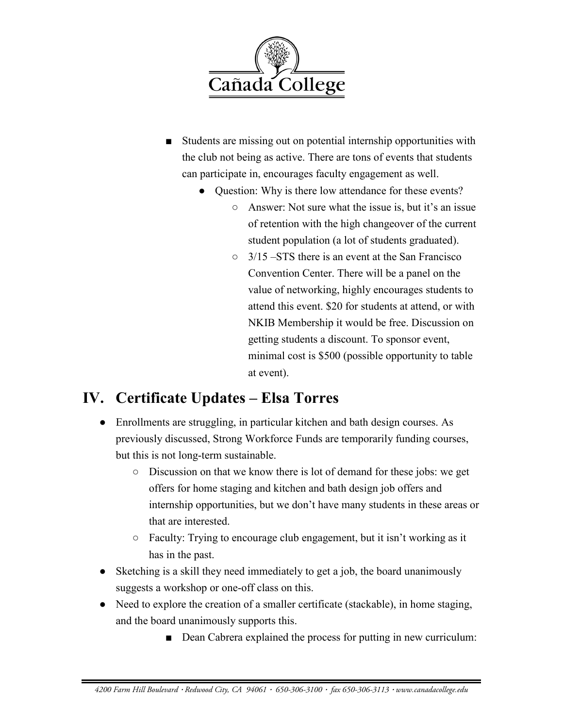

- Students are missing out on potential internship opportunities with the club not being as active. There are tons of events that students can participate in, encourages faculty engagement as well.
	- Question: Why is there low attendance for these events?
		- Answer: Not sure what the issue is, but it's an issue of retention with the high changeover of the current student population (a lot of students graduated).
		- $\circ$  3/15 –STS there is an event at the San Francisco Convention Center. There will be a panel on the value of networking, highly encourages students to attend this event. \$20 for students at attend, or with NKIB Membership it would be free. Discussion on getting students a discount. To sponsor event, minimal cost is \$500 (possible opportunity to table at event).

# **IV. Certificate Updates – Elsa Torres**

- Enrollments are struggling, in particular kitchen and bath design courses. As previously discussed, Strong Workforce Funds are temporarily funding courses, but this is not long-term sustainable.
	- Discussion on that we know there is lot of demand for these jobs: we get offers for home staging and kitchen and bath design job offers and internship opportunities, but we don't have many students in these areas or that are interested.
	- Faculty: Trying to encourage club engagement, but it isn't working as it has in the past.
- Sketching is a skill they need immediately to get a job, the board unanimously suggests a workshop or one-off class on this.
- Need to explore the creation of a smaller certificate (stackable), in home staging, and the board unanimously supports this.
	- Dean Cabrera explained the process for putting in new curriculum: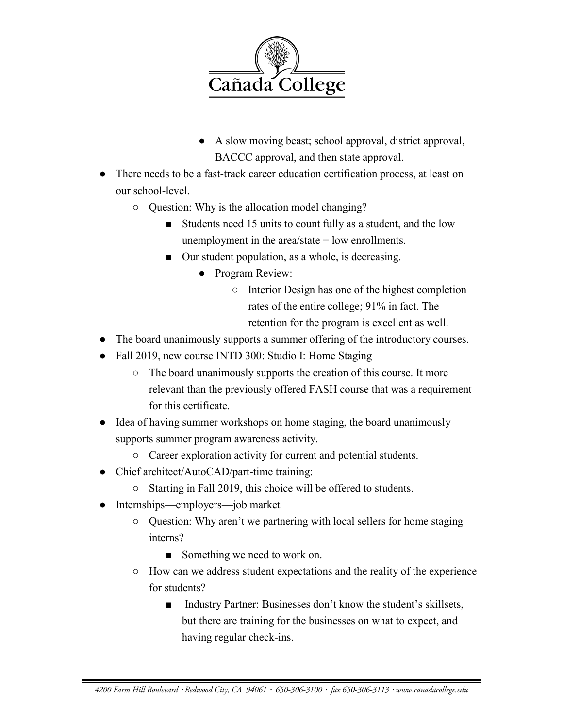

- A slow moving beast; school approval, district approval, BACCC approval, and then state approval.
- There needs to be a fast-track career education certification process, at least on our school-level.
	- Question: Why is the allocation model changing?
		- Students need 15 units to count fully as a student, and the low unemployment in the area/state = low enrollments.
		- Our student population, as a whole, is decreasing.
			- Program Review:
				- Interior Design has one of the highest completion rates of the entire college; 91% in fact. The retention for the program is excellent as well.
- The board unanimously supports a summer offering of the introductory courses.
- Fall 2019, new course INTD 300: Studio I: Home Staging
	- The board unanimously supports the creation of this course. It more relevant than the previously offered FASH course that was a requirement for this certificate.
- Idea of having summer workshops on home staging, the board unanimously supports summer program awareness activity.
	- Career exploration activity for current and potential students.
- Chief architect/AutoCAD/part-time training:
	- Starting in Fall 2019, this choice will be offered to students.
- Internships—employers—job market
	- Question: Why aren't we partnering with local sellers for home staging interns?
		- Something we need to work on.
	- How can we address student expectations and the reality of the experience for students?
		- Industry Partner: Businesses don't know the student's skillsets, but there are training for the businesses on what to expect, and having regular check-ins.